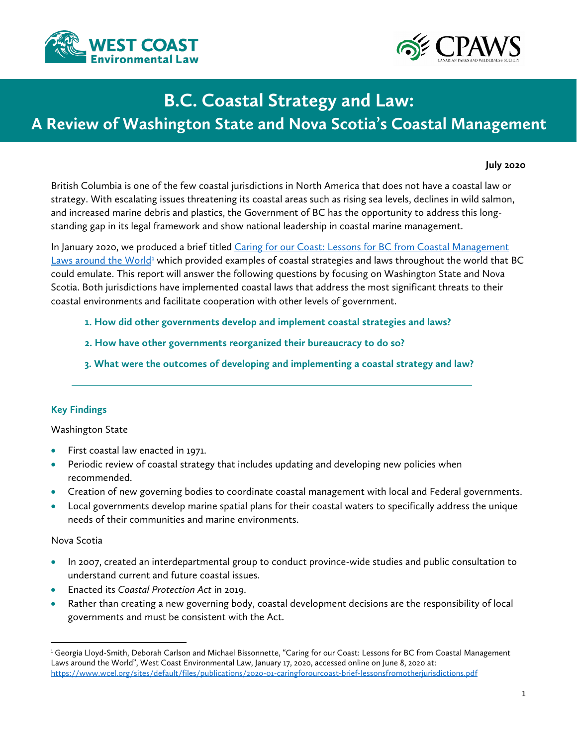



# **B.C. Coastal Strategy and Law:**

# **A Review of Washington State and Nova Scotia's Coastal Management**

#### **July 2020**

British Columbia is one of the few coastal jurisdictions in North America that does not have a coastal law or strategy. With escalating issues threatening its coastal areas such as rising sea levels, declines in wild salmon, and increased marine debris and plastics, the Government of BC has the opportunity to address this longstanding gap in its legal framework and show national leadership in coastal marine management.

In January 2020, we produced a brief titled Caring for our Coast: Lessons for BC from Coastal Management Laws around the World<sup>1</sup> which provided examples of coastal strategies and laws throughout the world that BC could emulate. This report will answer the following questions by focusing on Washington State and Nova Scotia. Both jurisdictions have implemented coastal laws that address the most significant threats to their coastal environments and facilitate cooperation with other levels of government.

- **1. How did other governments develop and implement coastal strategies and laws?**
- **2. How have other governments reorganized their bureaucracy to do so?**
- **3. What were the outcomes of developing and implementing a coastal strategy and law?**

#### **Key Findings**

Washington State

- First coastal law enacted in 1971.
- Periodic review of coastal strategy that includes updating and developing new policies when recommended.
- Creation of new governing bodies to coordinate coastal management with local and Federal governments.
- Local governments develop marine spatial plans for their coastal waters to specifically address the unique needs of their communities and marine environments.

#### Nova Scotia

 $\overline{\phantom{a}}$ 

- In 2007, created an interdepartmental group to conduct province-wide studies and public consultation to understand current and future coastal issues.
- Enacted its *Coastal Protection Act* in 2019.
- Rather than creating a new governing body, coastal development decisions are the responsibility of local governments and must be consistent with the Act.

<span id="page-0-0"></span><sup>&</sup>lt;sup>1</sup> Georgia Lloyd-Smith, Deborah Carlson and Michael Bissonnette, "Caring for our Coast: Lessons for BC from Coastal Management Laws around the World", West Coast Environmental Law, January 17, 2020, accessed online on June 8, 2020 at: <https://www.wcel.org/sites/default/files/publications/2020-01-caringforourcoast-brief-lessonsfromotherjurisdictions.pdf>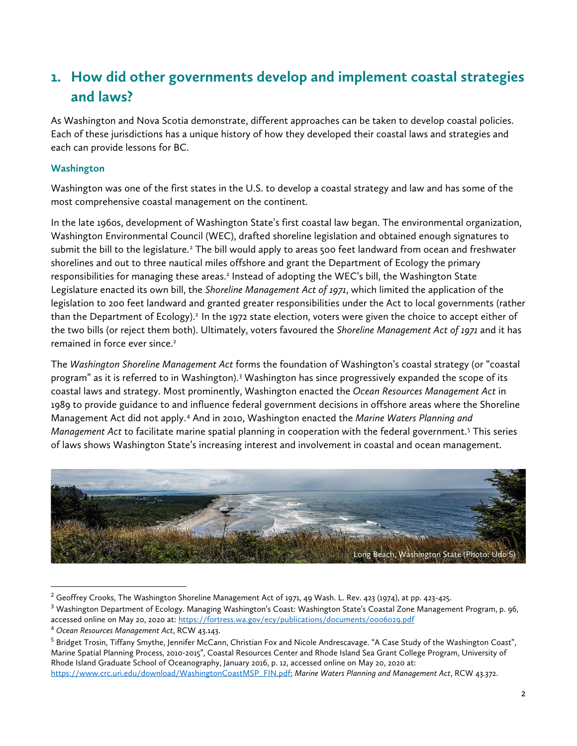# **1. How did other governments develop and implement coastal strategies and laws?**

As Washington and Nova Scotia demonstrate, different approaches can be taken to develop coastal policies. Each of these jurisdictions has a unique history of how they developed their coastal laws and strategies and each can provide lessons for BC.

### **Washington**

Washington was one of the first states in the U.S. to develop a coastal strategy and law and has some of the most comprehensive coastal management on the continent.

In the late 1960s, development of Washington State's first coastal law began. The environmental organization, Washington Environmental Council (WEC), drafted shoreline legislation and obtained enough signatures to submit the bill to the legislature.<sup>[2](#page-1-0)</sup> The bill would apply to areas 500 feet landward from ocean and freshwater shorelines and out to three nautical miles offshore and grant the Department of Ecology the primary responsibilities for managing these areas.<sup>2</sup> Instead of adopting the WEC's bill, the Washington State Legislature enacted its own bill, the *Shoreline Management Act of 1971*, which limited the application of the legislation to 200 feet landward and granted greater responsibilities under the Act to local governments (rather than the Department of Ecology).2 In the 1972 state election, voters were given the choice to accept either of the two bills (or reject them both). Ultimately, voters favoured the *Shoreline Management Act of 1971* and it has remained in force ever since.<sup>2</sup>

The *Washington Shoreline Management Act* forms the foundation of Washington's coastal strategy (or "coastal program" as it is referred to in Washington).<sup>[3](#page-1-1)</sup> Washington has since progressively expanded the scope of its coastal laws and strategy. Most prominently, Washington enacted the *Ocean Resources Management Act* in 1989 to provide guidance to and influence federal government decisions in offshore areas where the Shoreline Management Act did not apply.[4](#page-1-2) And in 2010, Washington enacted the *Marine Waters Planning and Management Act* to facilitate marine spatial planning in cooperation with the federal government.[5](#page-1-3) This series of laws shows Washington State's increasing interest and involvement in coastal and ocean management.



<sup>&</sup>lt;sup>2</sup> Geoffrey Crooks, The Washington Shoreline Management Act of 1971, 49 Wash. L. Rev. 423 (1974), at pp. 423-425.

<span id="page-1-1"></span><span id="page-1-0"></span><sup>&</sup>lt;sup>3</sup> Washington Department of Ecology. Managing Washington's Coast: Washington State's Coastal Zone Management Program, p. 96, accessed online on May 20, 2020 at[: https://fortress.wa.gov/ecy/publications/documents/0006029.pdf](https://fortress.wa.gov/ecy/publications/documents/0006029.pdf)

<span id="page-1-2"></span><sup>4</sup> *Ocean Resources Management Act*, RCW 43.143.

<span id="page-1-3"></span><sup>&</sup>lt;sup>5</sup> Bridget Trosin, Tiffany Smythe, Jennifer McCann, Christian Fox and Nicole Andrescavage. "A Case Study of the Washington Coast", Marine Spatial Planning Process, 2010-2015", Coastal Resources Center and Rhode Island Sea Grant College Program, University of Rhode Island Graduate School of Oceanography, January 2016, p. 12, accessed online on May 20, 2020 at: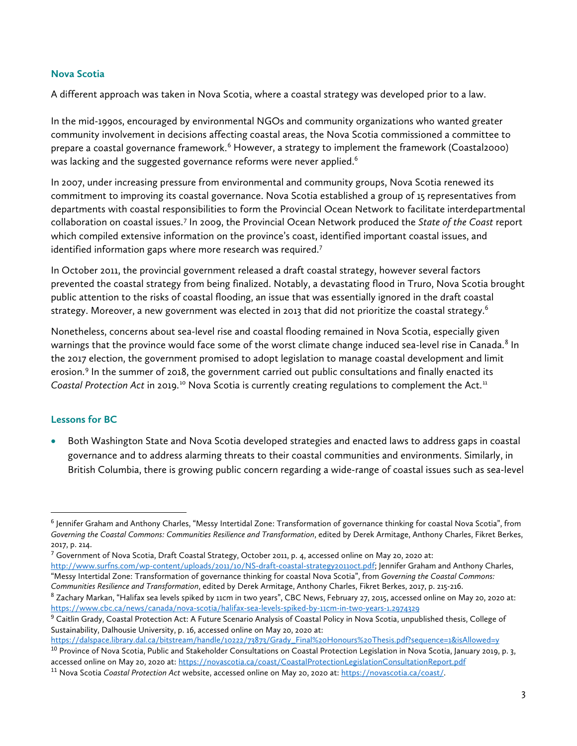#### **Nova Scotia**

A different approach was taken in Nova Scotia, where a coastal strategy was developed prior to a law.

In the mid-1990s, encouraged by environmental NGOs and community organizations who wanted greater community involvement in decisions affecting coastal areas, the Nova Scotia commissioned a committee to prepare a coastal governance framework.<sup>[6](#page-2-0)</sup> However, a strategy to implement the framework (Coastal2000) was lacking and the suggested governance reforms were never applied. $^6$ 

In 2007, under increasing pressure from environmental and community groups, Nova Scotia renewed its commitment to improving its coastal governance. Nova Scotia established a group of 15 representatives from departments with coastal responsibilities to form the Provincial Ocean Network to facilitate interdepartmental collaboration on coastal issues.[7](#page-2-1) In 2009, the Provincial Ocean Network produced the *State of the Coast* report which compiled extensive information on the province's coast, identified important coastal issues, and identified information gaps where more research was required.<sup>7</sup>

In October 2011, the provincial government released a draft coastal strategy, however several factors prevented the coastal strategy from being finalized. Notably, a devastating flood in Truro, Nova Scotia brought public attention to the risks of coastal flooding, an issue that was essentially ignored in the draft coastal strategy. Moreover, a new government was elected in 2013 that did not prioritize the coastal strategy.<sup>6</sup>

Nonetheless, concerns about sea-level rise and coastal flooding remained in Nova Scotia, especially given warnings that the province would face some of the worst climate change induced sea-level rise in Canada.<sup>[8](#page-2-2)</sup> In the 2017 election, the government promised to adopt legislation to manage coastal development and limit erosion.<sup>[9](#page-2-3)</sup> In the summer of 2018, the government carried out public consultations and finally enacted its *Coastal Protection Act* in 2019.<sup>[10](#page-2-4)</sup> Nova Scotia is currently creating regulations to complement the Act.<sup>[11](#page-2-5)</sup>

#### **Lessons for BC**

• Both Washington State and Nova Scotia developed strategies and enacted laws to address gaps in coastal governance and to address alarming threats to their coastal communities and environments. Similarly, in British Columbia, there is growing public concern regarding a wide-range of coastal issues such as sea-level

<span id="page-2-0"></span> <sup>6</sup> Jennifer Graham and Anthony Charles, "Messy Intertidal Zone: Transformation of governance thinking for coastal Nova Scotia", from Governing the Coastal Commons: Communities Resilience and Transformation, edited by Derek Armitage, Anthony Charles, Fikret Berkes, 2017, p. 214.

<span id="page-2-1"></span> $^7$  Government of Nova Scotia, Draft Coastal Strategy, October 2011, p. 4, accessed online on May 20, 2020 at: [http://www.surfns.com/wp-content/uploads/2011/10/NS-draft-coastal-strategy2011oct.pdf;](http://www.surfns.com/wp-content/uploads/2011/10/NS-draft-coastal-strategy2011oct.pdf) Jennifer Graham and Anthony Charles, "Messy Intertidal Zone: Transformation of governance thinking for coastal Nova Scotia", from *Governing the Coastal Commons:* 

*Communities Resilience and Transformation*, edited by Derek Armitage, Anthony Charles, Fikret Berkes, 2017, p. 215-216.

<span id="page-2-2"></span><sup>8</sup> Zachary Markan, "Halifax sea levels spiked by 11cm in two years", CBC News, February 27, 2015, accessed online on May 20, 2020 at: <https://www.cbc.ca/news/canada/nova-scotia/halifax-sea-levels-spiked-by-11cm-in-two-years-1.2974329>

<span id="page-2-3"></span><sup>&</sup>lt;sup>9</sup> Caitlin Grady, Coastal Protection Act: A Future Scenario Analysis of Coastal Policy in Nova Scotia, unpublished thesis, College of Sustainability, Dalhousie University, p. 16, accessed online on May 20, 2020 at:

<span id="page-2-4"></span>[https://dalspace.library.dal.ca/bitstream/handle/10222/73873/Grady\\_Final%20Honours%20Thesis.pdf?sequence=1&isAllowed=y](https://dalspace.library.dal.ca/bitstream/handle/10222/73873/Grady_Final%20Honours%20Thesis.pdf?sequence=1&isAllowed=y) <sup>10</sup> Province of Nova Scotia, Public and Stakeholder Consultations on Coastal Protection Legislation in Nova Scotia, January 2019, p. 3, accessed online on May 20, 2020 at[: https://novascotia.ca/coast/CoastalProtectionLegislationConsultationReport.pdf](https://novascotia.ca/coast/CoastalProtectionLegislationConsultationReport.pdf)

<span id="page-2-5"></span><sup>11</sup> Nova Scotia *Coastal Protection Act* website, accessed online on May 20, 2020 at[: https://novascotia.ca/coast/.](https://novascotia.ca/coast/)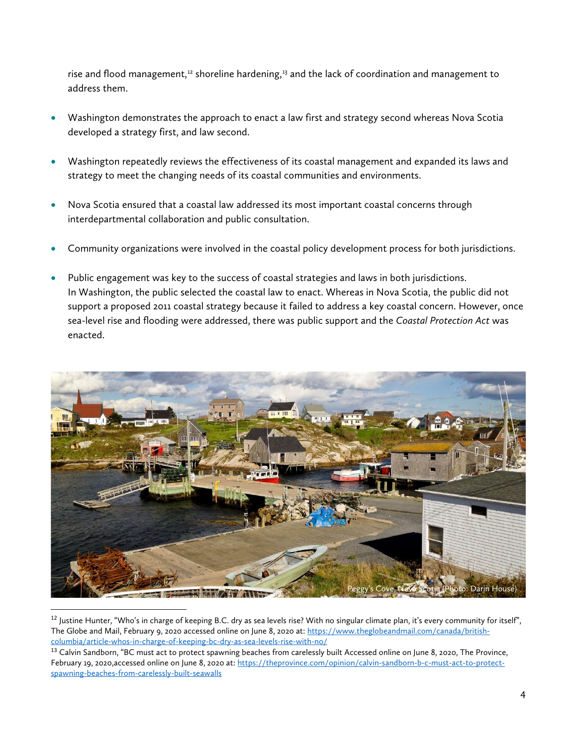rise and flood management, $12$  shoreline hardening, $13$  and the lack of coordination and management to address them.

- Washington demonstrates the approach to enact a law first and strategy second whereas Nova Scotia developed a strategy first, and law second.
- Washington repeatedly reviews the effectiveness of its coastal management and expanded its laws and strategy to meet the changing needs of its coastal communities and environments.
- Nova Scotia ensured that a coastal law addressed its most important coastal concerns through interdepartmental collaboration and public consultation.
- Community organizations were involved in the coastal policy development process for both jurisdictions.
- Public engagement was key to the success of coastal strategies and laws in both jurisdictions. In Washington, the public selected the coastal law to enact. Whereas in Nova Scotia, the public did not support a proposed 2011 coastal strategy because it failed to address a key coastal concern. However, once sea-level rise and flooding were addressed, there was public support and the *Coastal Protection Act* was enacted.



 $12$  Justine Hunter, "Who's in charge of keeping B.C. dry as sea levels rise? With no singular climate plan, it's every community for itself", The Globe and Mail, February 9, 2020 accessed online on June 8, 2020 at[: https://www.theglobeandmail.com/canada/british](https://www.theglobeandmail.com/canada/british-columbia/article-whos-in-charge-of-keeping-bc-dry-as-sea-levels-rise-with-no/)[columbia/article-whos-in-charge-of-keeping-bc-dry-as-sea-levels-rise-with-no/](https://www.theglobeandmail.com/canada/british-columbia/article-whos-in-charge-of-keeping-bc-dry-as-sea-levels-rise-with-no/)

<span id="page-3-1"></span><span id="page-3-0"></span><sup>&</sup>lt;sup>13</sup> Calvin Sandborn, "BC must act to protect spawning beaches from carelessly built Accessed online on June 8, 2020, The Province, February 19, 2020,accessed online on June 8, 2020 at: [https://theprovince.com/opinion/calvin-sandborn-b-c-must-act-to-protect](https://theprovince.com/opinion/calvin-sandborn-b-c-must-act-to-protect-spawning-beaches-from-carelessly-built-seawalls)[spawning-beaches-from-carelessly-built-seawalls](https://theprovince.com/opinion/calvin-sandborn-b-c-must-act-to-protect-spawning-beaches-from-carelessly-built-seawalls)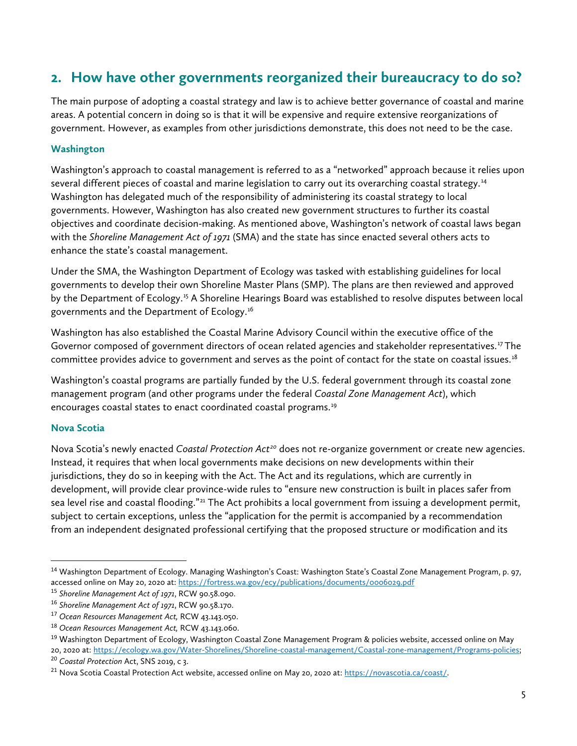### **2. How have other governments reorganized their bureaucracy to do so?**

The main purpose of adopting a coastal strategy and law is to achieve better governance of coastal and marine areas. A potential concern in doing so is that it will be expensive and require extensive reorganizations of government. However, as examples from other jurisdictions demonstrate, this does not need to be the case.

### **Washington**

Washington's approach to coastal management is referred to as a "networked" approach because it relies upon several different pieces of coastal and marine legislation to carry out its overarching coastal strategy.<sup>[14](#page-4-0)</sup> Washington has delegated much of the responsibility of administering its coastal strategy to local governments. However, Washington has also created new government structures to further its coastal objectives and coordinate decision-making. As mentioned above, Washington's network of coastal laws began with the *Shoreline Management Act of 1971* (SMA) and the state has since enacted several others acts to enhance the state's coastal management.

Under the SMA, the Washington Department of Ecology was tasked with establishing guidelines for local governments to develop their own Shoreline Master Plans (SMP). The plans are then reviewed and approved by the Department of Ecology.[15](#page-4-1) A Shoreline Hearings Board was established to resolve disputes between local governments and the Department of Ecology.[16](#page-4-2)

Washington has also established the Coastal Marine Advisory Council within the executive office of the Governor composed of government directors of ocean related agencies and stakeholder representatives.<sup>17</sup> The committee provides advice to government and serves as the point of contact for the state on coastal issues.<sup>[18](#page-4-4)</sup>

Washington's coastal programs are partially funded by the U.S. federal government through its coastal zone management program (and other programs under the federal *Coastal Zone Management Act*), which encourages coastal states to enact coordinated coastal programs.<sup>[19](#page-4-5)</sup>

#### **Nova Scotia**

Nova Scotia's newly enacted *Coastal Protection Act[20](#page-4-6)* does not re-organize government or create new agencies. Instead, it requires that when local governments make decisions on new developments within their jurisdictions, they do so in keeping with the Act. The Act and its regulations, which are currently in development, will provide clear province-wide rules to "ensure new construction is built in places safer from sea level rise and coastal flooding."<sup>[21](#page-4-7)</sup> The Act prohibits a local government from issuing a development permit, subject to certain exceptions, unless the "application for the permit is accompanied by a recommendation from an independent designated professional certifying that the proposed structure or modification and its

<span id="page-4-0"></span><sup>&</sup>lt;sup>14</sup> Washington Department of Ecology. Managing Washington's Coast: Washington State's Coastal Zone Management Program, p. 97, accessed online on May 20, 2020 at[: https://fortress.wa.gov/ecy/publications/documents/0006029.pdf](https://fortress.wa.gov/ecy/publications/documents/0006029.pdf)

<span id="page-4-1"></span><sup>15</sup> *Shoreline Management Act of 1971*, RCW 90.58.090.

<span id="page-4-2"></span><sup>16</sup> *Shoreline Management Act of 1971*, RCW 90.58.170.

<span id="page-4-3"></span><sup>17</sup> *Ocean Resources Management Act,* RCW 43.143.050.

<span id="page-4-4"></span><sup>18</sup> *Ocean Resources Management Act,* RCW 43.143.060.

<span id="page-4-5"></span><sup>19</sup> Washington Department of Ecology, Washington Coastal Zone Management Program & policies website, accessed online on May 20, 2020 at[: https://ecology.wa.gov/Water-Shorelines/Shoreline-coastal-management/Coastal-zone-management/Programs-policies;](https://ecology.wa.gov/Water-Shorelines/Shoreline-coastal-management/Coastal-zone-management/Programs-policies)

<span id="page-4-6"></span><sup>20</sup> *Coastal Protection* Act, SNS 2019, c 3.

<span id="page-4-7"></span><sup>&</sup>lt;sup>21</sup> Nova Scotia Coastal Protection Act website, accessed online on May 20, 2020 at: [https://novascotia.ca/coast/.](https://novascotia.ca/coast/)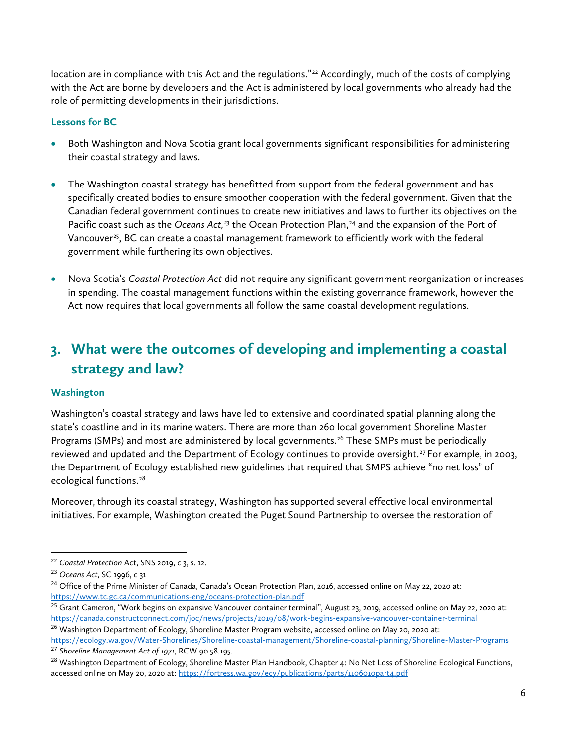location are in compliance with this Act and the regulations."<sup>[22](#page-5-0)</sup> Accordingly, much of the costs of complying with the Act are borne by developers and the Act is administered by local governments who already had the role of permitting developments in their jurisdictions.

### **Lessons for BC**

- Both Washington and Nova Scotia grant local governments significant responsibilities for administering their coastal strategy and laws.
- The Washington coastal strategy has benefitted from support from the federal government and has specifically created bodies to ensure smoother cooperation with the federal government. Given that the Canadian federal government continues to create new initiatives and laws to further its objectives on the Pacific coast such as the *Oceans Act*,<sup>[23](#page-5-1)</sup> the Ocean Protection Plan,<sup>[24](#page-5-2)</sup> and the expansion of the Port of Vancouver<sup>[25](#page-5-3)</sup>, BC can create a coastal management framework to efficiently work with the federal government while furthering its own objectives.
- Nova Scotia's *Coastal Protection Act* did not require any significant government reorganization or increases in spending. The coastal management functions within the existing governance framework, however the Act now requires that local governments all follow the same coastal development regulations.

## **3. What were the outcomes of developing and implementing a coastal strategy and law?**

#### **Washington**

Washington's coastal strategy and laws have led to extensive and coordinated spatial planning along the state's coastline and in its marine waters. There are more than 260 local government Shoreline Master Programs (SMPs) and most are administered by local governments.<sup>[26](#page-5-4)</sup> These SMPs must be periodically reviewed and updated and the Department of Ecology continues to provide oversight.<sup>[27](#page-5-5)</sup> For example, in 2003, the Department of Ecology established new guidelines that required that SMPS achieve "no net loss" of ecological functions.<sup>[28](#page-5-6)</sup>

Moreover, through its coastal strategy, Washington has supported several effective local environmental initiatives. For example, Washington created the Puget Sound Partnership to oversee the restoration of

- <span id="page-5-3"></span> $25$  Grant Cameron, "Work begins on expansive Vancouver container terminal", August 23, 2019, accessed online on May 22, 2020 at: <https://canada.constructconnect.com/joc/news/projects/2019/08/work-begins-expansive-vancouver-container-terminal>
- <span id="page-5-4"></span><sup>26</sup> Washington Department of Ecology, Shoreline Master Program website, accessed online on May 20, 2020 at: <https://ecology.wa.gov/Water-Shorelines/Shoreline-coastal-management/Shoreline-coastal-planning/Shoreline-Master-Programs>

<span id="page-5-5"></span><sup>27</sup> *Shoreline Management Act of 1971*, RCW 90.58.195.

<span id="page-5-0"></span> <sup>22</sup> *Coastal Protection* Act, SNS 2019, c 3, s. 12.

<span id="page-5-1"></span><sup>23</sup> *Oceans Act*, SC 1996, c 31

<span id="page-5-2"></span><sup>&</sup>lt;sup>24</sup> Office of the Prime Minister of Canada, Canada's Ocean Protection Plan, 2016, accessed online on May 22, 2020 at: <https://www.tc.gc.ca/communications-eng/oceans-protection-plan.pdf>

<span id="page-5-6"></span><sup>&</sup>lt;sup>28</sup> Washington Department of Ecology, Shoreline Master Plan Handbook, Chapter 4: No Net Loss of Shoreline Ecological Functions, accessed online on May 20, 2020 at[: https://fortress.wa.gov/ecy/publications/parts/1106010part4.pdf](https://fortress.wa.gov/ecy/publications/parts/1106010part4.pdf)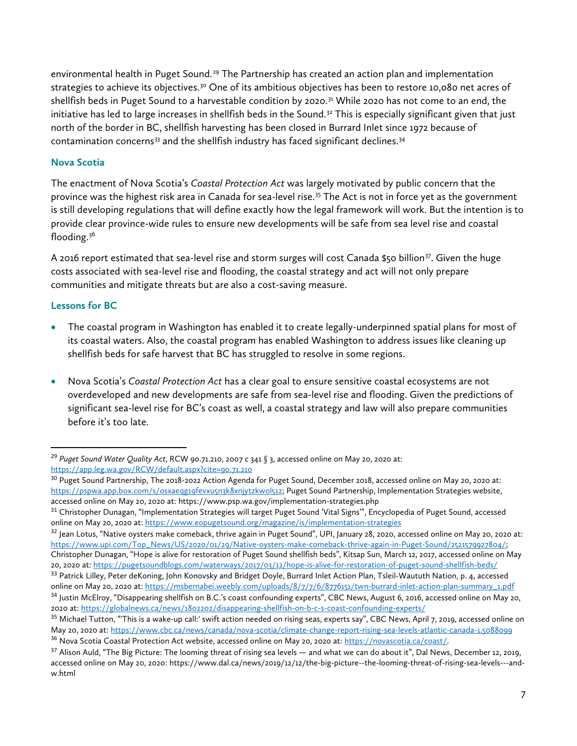environmental health in Puget Sound.<sup>[29](#page-6-0)</sup> The Partnership has created an action plan and implementation strategies to achieve its objectives.<sup>[30](#page-6-1)</sup> One of its ambitious objectives has been to restore 10,080 net acres of shellfish beds in Puget Sound to a harvestable condition by 2020.<sup>[31](#page-6-2)</sup> While 2020 has not come to an end, the initiative has led to large increases in shellfish beds in the Sound. $32$  This is especially significant given that just north of the border in BC, shellfish harvesting has been closed in Burrard Inlet since 1972 because of contamination concerns<sup>[33](#page-6-4)</sup> and the shellfish industry has faced significant declines.<sup>[34](#page-6-5)</sup>

#### **Nova Scotia**

The enactment of Nova Scotia's *Coastal Protection Act* was largely motivated by public concern that the province was the highest risk area in Canada for sea-level rise.<sup>[35](#page-6-6)</sup> The Act is not in force yet as the government is still developing regulations that will define exactly how the legal framework will work. But the intention is to provide clear province-wide rules to ensure new developments will be safe from sea level rise and coastal flooding.[36](#page-6-7)

A 2016 report estimated that sea-level rise and storm surges will cost Canada \$50 billion<sup>[37](#page-6-8)</sup>. Given the huge costs associated with sea-level rise and flooding, the coastal strategy and act will not only prepare communities and mitigate threats but are also a cost-saving measure.

#### **Lessons for BC**

- The coastal program in Washington has enabled it to create legally-underpinned spatial plans for most of its coastal waters. Also, the coastal program has enabled Washington to address issues like cleaning up shellfish beds for safe harvest that BC has struggled to resolve in some regions.
- Nova Scotia's *Coastal Protection Act* has a clear goal to ensure sensitive coastal ecosystems are not overdeveloped and new developments are safe from sea-level rise and flooding. Given the predictions of significant sea-level rise for BC's coast as well, a coastal strategy and law will also prepare communities before it's too late.

<span id="page-6-0"></span> <sup>29</sup> *Puget Sound Water Quality Act*, RCW 90.71.210, 2007 c 341 § 3, accessed online on May 20, 2020 at: <https://app.leg.wa.gov/RCW/default.aspx?cite=90.71.210>

<span id="page-6-1"></span><sup>&</sup>lt;sup>30</sup> Puget Sound Partnership, The 2018-2022 Action Agenda for Puget Sound, December 2018, accessed online on May 20, 2020 at: [https://pspwa.app.box.com/s/osxaeqg19fevxu5n3k8xnjytzkwol512;](https://pspwa.app.box.com/s/osxaeqg19fevxu5n3k8xnjytzkwol512) Puget Sound Partnership, Implementation Strategies website, accessed online on May 20, 2020 at: https://www.psp.wa.gov/implementation-strategies.php

<span id="page-6-2"></span><sup>&</sup>lt;sup>31</sup> Christopher Dunagan, "Implementation Strategies will target Puget Sound 'Vital Signs'", Encyclopedia of Puget Sound, accessed online on May 20, 2020 at:<https://www.eopugetsound.org/magazine/is/implementation-strategies>

<span id="page-6-3"></span><sup>&</sup>lt;sup>32</sup> Jean Lotus, "Native oysters make comeback, thrive again in Puget Sound", UPI, January 28, 2020, accessed online on May 20, 2020 at: [https://www.upi.com/Top\\_News/US/2020/01/29/Native-oysters-make-comeback-thrive-again-in-Puget-Sound/2521579927804/;](https://www.upi.com/Top_News/US/2020/01/29/Native-oysters-make-comeback-thrive-again-in-Puget-Sound/2521579927804/) Christopher Dunagan, "Hope is alive for restoration of Puget Sound shellfish beds", Kitsap Sun, March 12, 2017, accessed online on May 20, 2020 at[: https://pugetsoundblogs.com/waterways/2017/03/12/hope-is-alive-for-restoration-of-puget-sound-shellfish-beds/](https://pugetsoundblogs.com/waterways/2017/03/12/hope-is-alive-for-restoration-of-puget-sound-shellfish-beds/)

<span id="page-6-4"></span><sup>33</sup> Patrick Lilley, Peter deKoning, John Konovsky and Bridget Doyle, Burrard Inlet Action Plan, Tsleil-Waututh Nation, p. 4, accessed online on May 20, 2020 at: [https://msbernabei.weebly.com/uploads/8/7/7/6/8776151/twn-burrard-inlet-action-plan-summary\\_1.pdf](https://msbernabei.weebly.com/uploads/8/7/7/6/8776151/twn-burrard-inlet-action-plan-summary_1.pdf)

<span id="page-6-5"></span><sup>34</sup> Justin McElroy, "Disappearing shellfish on B.C.'s coast confounding experts", CBC News, August 6, 2016, accessed online on May 20, 2020 at:<https://globalnews.ca/news/1802202/disappearing-shellfish-on-b-c-s-coast-confounding-experts/>

<span id="page-6-6"></span><sup>&</sup>lt;sup>35</sup> Michael Tutton, "This is a wake-up call:' swift action needed on rising seas, experts say", CBC News, April 7, 2019, accessed online on May 20, 2020 at[: https://www.cbc.ca/news/canada/nova-scotia/climate-change-report-rising-sea-levels-atlantic-canada-1.5088099](https://www.cbc.ca/news/canada/nova-scotia/climate-change-report-rising-sea-levels-atlantic-canada-1.5088099) <sup>36</sup> Nova Scotia Coastal Protection Act website, accessed online on May 20, 2020 at: [https://novascotia.ca/coast/.](https://novascotia.ca/coast/)

<span id="page-6-8"></span><span id="page-6-7"></span><sup>&</sup>lt;sup>37</sup> Alison Auld, "The Big Picture: The looming threat of rising sea levels — and what we can do about it", Dal News, December 12, 2019, accessed online on May 20, 2020: https://www.dal.ca/news/2019/12/12/the-big-picture--the-looming-threat-of-rising-sea-levels---andw.html